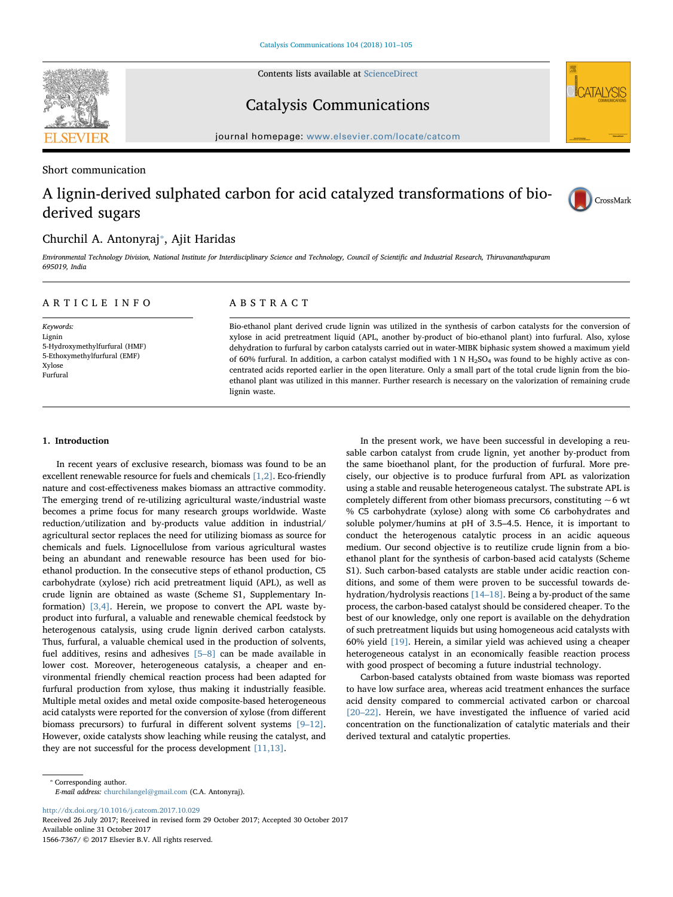Contents lists available at [ScienceDirect](http://www.sciencedirect.com/science/journal/15667367)

Catalysis Communications

journal homepage: [www.elsevier.com/locate/catcom](https://www.elsevier.com/locate/catcom)

# Short communication

# A lignin-derived sulphated carbon for acid catalyzed transformations of bioderived sugars

# Churchil A. Antonyraj\*, Ajit Haridas

Environmental Technology Division, National Institute for Interdisciplinary Science and Technology, Council of Scientific and Industrial Research, Thiruvananthapuram 695019, India

# ARTICLE INFO

Keywords: Lignin 5-Hydroxymethylfurfural (HMF) 5-Ethoxymethylfurfural (EMF) Xylose Furfural

# ABSTRACT

Bio-ethanol plant derived crude lignin was utilized in the synthesis of carbon catalysts for the conversion of xylose in acid pretreatment liquid (APL, another by-product of bio-ethanol plant) into furfural. Also, xylose dehydration to furfural by carbon catalysts carried out in water-MIBK biphasic system showed a maximum yield of 60% furfural. In addition, a carbon catalyst modified with 1 N  $H_2SO_4$  was found to be highly active as concentrated acids reported earlier in the open literature. Only a small part of the total crude lignin from the bioethanol plant was utilized in this manner. Further research is necessary on the valorization of remaining crude lignin waste.

# 1. Introduction

In recent years of exclusive research, biomass was found to be an excellent renewable resource for fuels and chemicals [\[1,2\].](#page-4-0) Eco-friendly nature and cost-effectiveness makes biomass an attractive commodity. The emerging trend of re-utilizing agricultural waste/industrial waste becomes a prime focus for many research groups worldwide. Waste reduction/utilization and by-products value addition in industrial/ agricultural sector replaces the need for utilizing biomass as source for chemicals and fuels. Lignocellulose from various agricultural wastes being an abundant and renewable resource has been used for bioethanol production. In the consecutive steps of ethanol production, C5 carbohydrate (xylose) rich acid pretreatment liquid (APL), as well as crude lignin are obtained as waste (Scheme S1, Supplementary Information) [\[3,4\]](#page-4-1). Herein, we propose to convert the APL waste byproduct into furfural, a valuable and renewable chemical feedstock by heterogenous catalysis, using crude lignin derived carbon catalysts. Thus, furfural, a valuable chemical used in the production of solvents, fuel additives, resins and adhesives [\[5](#page-4-2)–8] can be made available in lower cost. Moreover, heterogeneous catalysis, a cheaper and environmental friendly chemical reaction process had been adapted for furfural production from xylose, thus making it industrially feasible. Multiple metal oxides and metal oxide composite-based heterogeneous acid catalysts were reported for the conversion of xylose (from different biomass precursors) to furfural in different solvent systems [9–[12\]](#page-4-3). However, oxide catalysts show leaching while reusing the catalyst, and they are not successful for the process development [\[11,13\]](#page-4-4).

In the present work, we have been successful in developing a reusable carbon catalyst from crude lignin, yet another by-product from the same bioethanol plant, for the production of furfural. More precisely, our objective is to produce furfural from APL as valorization using a stable and reusable heterogeneous catalyst. The substrate APL is completely different from other biomass precursors, constituting  $\sim$  6 wt % C5 carbohydrate (xylose) along with some C6 carbohydrates and soluble polymer/humins at pH of 3.5–4.5. Hence, it is important to conduct the heterogenous catalytic process in an acidic aqueous medium. Our second objective is to reutilize crude lignin from a bioethanol plant for the synthesis of carbon-based acid catalysts (Scheme S1). Such carbon-based catalysts are stable under acidic reaction conditions, and some of them were proven to be successful towards dehydration/hydrolysis reactions [\[14](#page-4-5)–18]. Being a by-product of the same process, the carbon-based catalyst should be considered cheaper. To the best of our knowledge, only one report is available on the dehydration of such pretreatment liquids but using homogeneous acid catalysts with 60% yield [\[19\]](#page-4-6). Herein, a similar yield was achieved using a cheaper heterogeneous catalyst in an economically feasible reaction process with good prospect of becoming a future industrial technology.

CrossMark

Carbon-based catalysts obtained from waste biomass was reported to have low surface area, whereas acid treatment enhances the surface acid density compared to commercial activated carbon or charcoal [20–[22\]](#page-4-7). Herein, we have investigated the influence of varied acid concentration on the functionalization of catalytic materials and their derived textural and catalytic properties.

<http://dx.doi.org/10.1016/j.catcom.2017.10.029>

Received 26 July 2017; Received in revised form 29 October 2017; Accepted 30 October 2017 Available online 31 October 2017 1566-7367/ © 2017 Elsevier B.V. All rights reserved.



<span id="page-0-0"></span><sup>⁎</sup> Corresponding author. E-mail address: [churchilangel@gmail.com](mailto:churchilangel@gmail.com) (C.A. Antonyraj).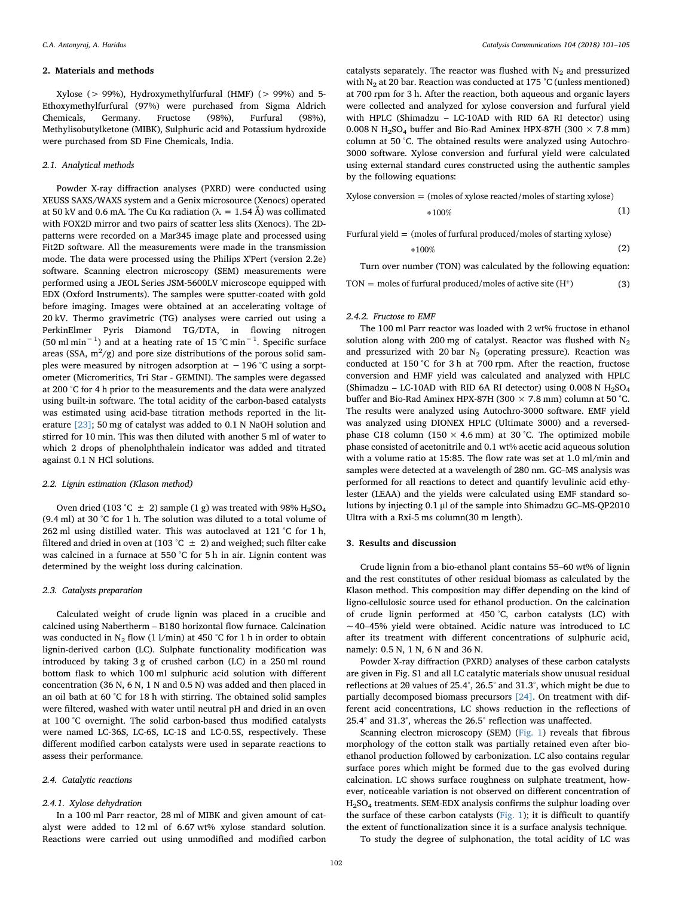#### 2. Materials and methods

Xylose (> 99%), Hydroxymethylfurfural (HMF) (> 99%) and 5- Ethoxymethylfurfural (97%) were purchased from Sigma Aldrich Chemicals, Germany. Fructose (98%), Furfural (98%), Methylisobutylketone (MIBK), Sulphuric acid and Potassium hydroxide were purchased from SD Fine Chemicals, India.

# 2.1. Analytical methods

Powder X-ray diffraction analyses (PXRD) were conducted using XEUSS SAXS/WAXS system and a Genix microsource (Xenocs) operated at 50 kV and 0.6 mA. The Cu K $\alpha$  radiation ( $\lambda = 1.54$  Å) was collimated with FOX2D mirror and two pairs of scatter less slits (Xenocs). The 2Dpatterns were recorded on a Mar345 image plate and processed using Fit2D software. All the measurements were made in the transmission mode. The data were processed using the Philips X'Pert (version 2.2e) software. Scanning electron microscopy (SEM) measurements were performed using a JEOL Series JSM-5600LV microscope equipped with EDX (Oxford Instruments). The samples were sputter-coated with gold before imaging. Images were obtained at an accelerating voltage of 20 kV. Thermo gravimetric (TG) analyses were carried out using a PerkinElmer Pyris Diamond TG/DTA, in flowing nitrogen (50 ml min−<sup>1</sup> ) and at a heating rate of 15 °C min−<sup>1</sup> . Specific surface areas (SSA,  $m^2/g$ ) and pore size distributions of the porous solid samples were measured by nitrogen adsorption at −196 °C using a sorptometer (Micromeritics, Tri Star - GEMINI). The samples were degassed at 200 °C for 4 h prior to the measurements and the data were analyzed using built-in software. The total acidity of the carbon-based catalysts was estimated using acid-base titration methods reported in the literature [\[23\]](#page-4-8); 50 mg of catalyst was added to 0.1 N NaOH solution and stirred for 10 min. This was then diluted with another 5 ml of water to which 2 drops of phenolphthalein indicator was added and titrated against 0.1 N HCl solutions.

#### 2.2. Lignin estimation (Klason method)

Oven dried (103 °C  $\pm$  2) sample (1 g) was treated with 98% H<sub>2</sub>SO<sub>4</sub> (9.4 ml) at 30 °C for 1 h. The solution was diluted to a total volume of 262 ml using distilled water. This was autoclaved at 121 °C for 1 h, filtered and dried in oven at (103 °C  $\pm$  2) and weighed; such filter cake was calcined in a furnace at 550 °C for 5 h in air. Lignin content was determined by the weight loss during calcination.

#### 2.3. Catalysts preparation

Calculated weight of crude lignin was placed in a crucible and calcined using Nabertherm – B180 horizontal flow furnace. Calcination was conducted in  $N_2$  flow (1 l/min) at 450 °C for 1 h in order to obtain lignin-derived carbon (LC). Sulphate functionality modification was introduced by taking 3 g of crushed carbon (LC) in a 250 ml round bottom flask to which 100 ml sulphuric acid solution with different concentration (36 N, 6 N, 1 N and 0.5 N) was added and then placed in an oil bath at 60 °C for 18 h with stirring. The obtained solid samples were filtered, washed with water until neutral pH and dried in an oven at 100 °C overnight. The solid carbon-based thus modified catalysts were named LC-36S, LC-6S, LC-1S and LC-0.5S, respectively. These different modified carbon catalysts were used in separate reactions to assess their performance.

#### 2.4. Catalytic reactions

#### 2.4.1. Xylose dehydration

In a 100 ml Parr reactor, 28 ml of MIBK and given amount of catalyst were added to 12 ml of 6.67 wt% xylose standard solution. Reactions were carried out using unmodified and modified carbon catalysts separately. The reactor was flushed with  $N_2$  and pressurized with  $N_2$  at 20 bar. Reaction was conducted at 175 °C (unless mentioned) at 700 rpm for 3 h. After the reaction, both aqueous and organic layers were collected and analyzed for xylose conversion and furfural yield with HPLC (Shimadzu – LC-10AD with RID 6A RI detector) using 0.008 N H<sub>2</sub>SO<sub>4</sub> buffer and Bio-Rad Aminex HPX-87H (300  $\times$  7.8 mm) column at 50 °C. The obtained results were analyzed using Autochro-3000 software. Xylose conversion and furfural yield were calculated using external standard cures constructed using the authentic samples by the following equations:

$$
Xylose conversion = (moles of xylose reacted/moles of starting xylose) *100% \eqno{(1)}
$$

Furfural yield  $=$  (moles of furfural produced/moles of starting xylose)

$$
*100\% \tag{2}
$$

Turn over number (TON) was calculated by the following equation:

 $TON =$  moles of furfural produced/moles of active site  $(H<sup>+</sup>)$  (3)

#### 2.4.2. Fructose to EMF

The 100 ml Parr reactor was loaded with 2 wt% fructose in ethanol solution along with 200 mg of catalyst. Reactor was flushed with  $N_2$ and pressurized with 20 bar  $N_2$  (operating pressure). Reaction was conducted at 150 °C for 3 h at 700 rpm. After the reaction, fructose conversion and HMF yield was calculated and analyzed with HPLC (Shimadzu – LC-10AD with RID 6A RI detector) using  $0.008$  N H<sub>2</sub>SO<sub>4</sub> buffer and Bio-Rad Aminex HPX-87H (300  $\times$  7.8 mm) column at 50 °C. The results were analyzed using Autochro-3000 software. EMF yield was analyzed using DIONEX HPLC (Ultimate 3000) and a reversedphase C18 column (150  $\times$  4.6 mm) at 30 °C. The optimized mobile phase consisted of acetonitrile and 0.1 wt% acetic acid aqueous solution with a volume ratio at 15:85. The flow rate was set at 1.0 ml/min and samples were detected at a wavelength of 280 nm. GC–MS analysis was performed for all reactions to detect and quantify levulinic acid ethylester (LEAA) and the yields were calculated using EMF standard solutions by injecting 0.1 μl of the sample into Shimadzu GC–MS-QP2010 Ultra with a Rxi-5 ms column(30 m length).

#### 3. Results and discussion

Crude lignin from a bio-ethanol plant contains 55–60 wt% of lignin and the rest constitutes of other residual biomass as calculated by the Klason method. This composition may differ depending on the kind of ligno-cellulosic source used for ethanol production. On the calcination of crude lignin performed at 450 °C, carbon catalysts (LC) with  $\sim$  40–45% yield were obtained. Acidic nature was introduced to LC after its treatment with different concentrations of sulphuric acid, namely: 0.5 N, 1 N, 6 N and 36 N.

Powder X-ray diffraction (PXRD) analyses of these carbon catalysts are given in Fig. S1 and all LC catalytic materials show unusual residual reflections at 2θ values of 25.4°, 26.5° and 31.3°, which might be due to partially decomposed biomass precursors [\[24\].](#page-4-9) On treatment with different acid concentrations, LC shows reduction in the reflections of 25.4° and 31.3°, whereas the 26.5° reflection was unaffected.

Scanning electron microscopy (SEM) [\(Fig. 1](#page-2-0)) reveals that fibrous morphology of the cotton stalk was partially retained even after bioethanol production followed by carbonization. LC also contains regular surface pores which might be formed due to the gas evolved during calcination. LC shows surface roughness on sulphate treatment, however, noticeable variation is not observed on different concentration of H2SO4 treatments. SEM-EDX analysis confirms the sulphur loading over the surface of these carbon catalysts ( $Fig. 1$ ); it is difficult to quantify the extent of functionalization since it is a surface analysis technique.

To study the degree of sulphonation, the total acidity of LC was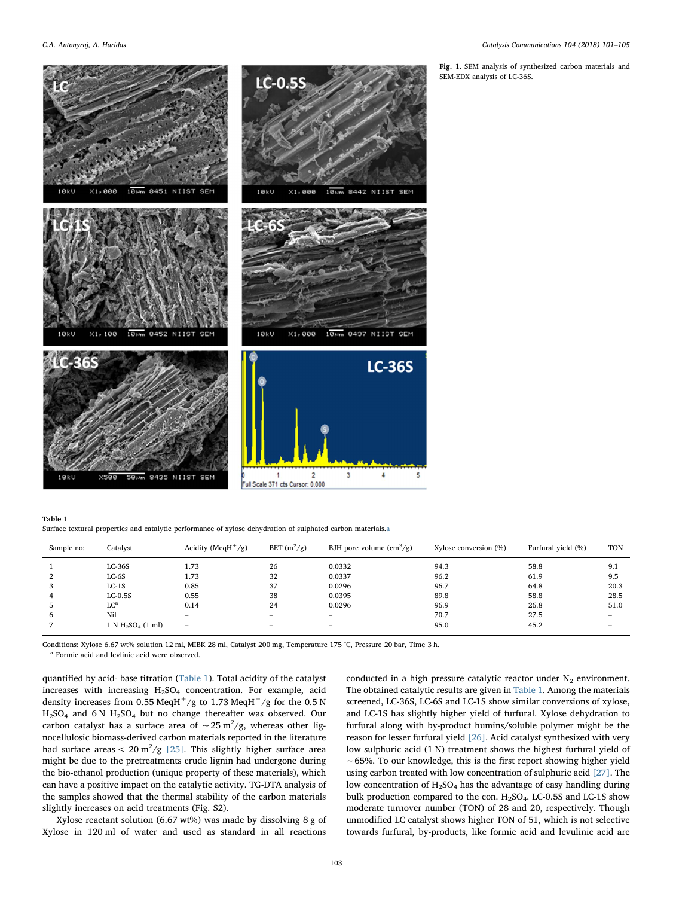<span id="page-2-0"></span>

Fig. 1. SEM analysis of synthesized carbon materials and SEM-EDX analysis of LC-36S.

#### <span id="page-2-1"></span>Table 1

Surface textural properties and catalytic performance of xylose dehydration of sulphated carbon materials[.a](#page-2-2)

| Sample no:     | Catalyst             | Acidity (MeqH $^{+}/g$ ) | BET $(m^2/g)$ | BJH pore volume $\text{cm}^3\text{/g}$ ) | Xylose conversion (%) | Furfural yield (%) | <b>TON</b>               |
|----------------|----------------------|--------------------------|---------------|------------------------------------------|-----------------------|--------------------|--------------------------|
|                | $LC-36S$             | 1.73                     | 26            | 0.0332                                   | 94.3                  | 58.8               | 9.1                      |
|                | $LC-6S$              | 1.73                     | 32            | 0.0337                                   | 96.2                  | 61.9               | 9.5                      |
| 3              | $LC-1S$              | 0.85                     | 37            | 0.0296                                   | 96.7                  | 64.8               | 20.3                     |
| $\overline{4}$ | $LC-0.5S$            | 0.55                     | 38            | 0.0395                                   | 89.8                  | 58.8               | 28.5                     |
| ь              | $LC^a$               | 0.14                     | 24            | 0.0296                                   | 96.9                  | 26.8               | 51.0                     |
| 6              | Nil                  | -                        | -             | $\equiv$                                 | 70.7                  | 27.5               | -                        |
|                | $1 N H_2SO_4 (1 ml)$ | $\overline{\phantom{m}}$ |               | -                                        | 95.0                  | 45.2               | $\overline{\phantom{a}}$ |

Conditions: Xylose 6.67 wt% solution 12 ml, MIBK 28 ml, Catalyst 200 mg, Temperature 175 °C, Pressure 20 bar, Time 3 h.

<span id="page-2-2"></span><sup>a</sup> Formic acid and levlinic acid were observed.

quantified by acid- base titration [\(Table 1\)](#page-2-1). Total acidity of the catalyst increases with increasing  $H<sub>2</sub>SO<sub>4</sub>$  concentration. For example, acid density increases from 0.55 MeqH<sup>+</sup>/g to 1.73 MeqH<sup>+</sup>/g for the 0.5 N H2SO4 and 6 N H2SO4 but no change thereafter was observed. Our carbon catalyst has a surface area of  $\sim$  25 m<sup>2</sup>/g, whereas other lignocellulosic biomass-derived carbon materials reported in the literature had surface areas  $< 20 \text{ m}^2/\text{g}$  [\[25\].](#page-4-10) This slightly higher surface area might be due to the pretreatments crude lignin had undergone during the bio-ethanol production (unique property of these materials), which can have a positive impact on the catalytic activity. TG-DTA analysis of the samples showed that the thermal stability of the carbon materials slightly increases on acid treatments (Fig. S2).

Xylose reactant solution (6.67 wt%) was made by dissolving 8 g of Xylose in 120 ml of water and used as standard in all reactions

conducted in a high pressure catalytic reactor under  $N_2$  environment. The obtained catalytic results are given in [Table 1.](#page-2-1) Among the materials screened, LC-36S, LC-6S and LC-1S show similar conversions of xylose, and LC-1S has slightly higher yield of furfural. Xylose dehydration to furfural along with by-product humins/soluble polymer might be the reason for lesser furfural yield [\[26\].](#page-4-11) Acid catalyst synthesized with very low sulphuric acid (1 N) treatment shows the highest furfural yield of  $\sim$  65%. To our knowledge, this is the first report showing higher yield using carbon treated with low concentration of sulphuric acid [\[27\]](#page-4-12). The low concentration of  $H_2SO_4$  has the advantage of easy handling during bulk production compared to the con.  $H_2SO_4$ . LC-0.5S and LC-1S show moderate turnover number (TON) of 28 and 20, respectively. Though unmodified LC catalyst shows higher TON of 51, which is not selective towards furfural, by-products, like formic acid and levulinic acid are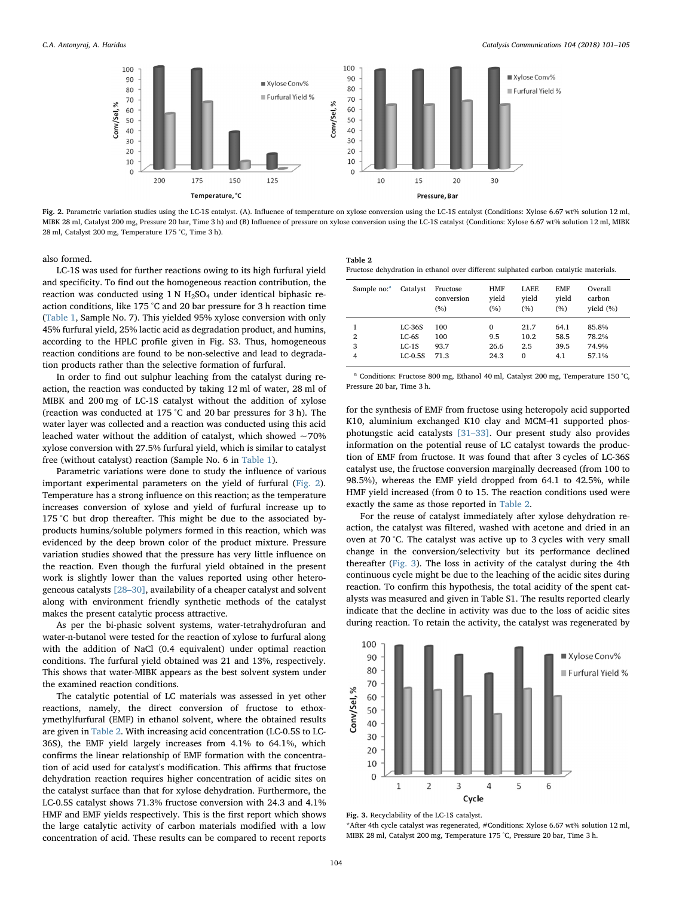<span id="page-3-0"></span>

Fig. 2. Parametric variation studies using the LC-1S catalyst. (A). Influence of temperature on xylose conversion using the LC-1S catalyst (Conditions: Xylose 6.67 wt% solution 12 ml, MIBK 28 ml, Catalyst 200 mg, Pressure 20 bar, Time 3 h) and (B) Influence of pressure on xylose conversion using the LC-1S catalyst (Conditions: Xylose 6.67 wt% solution 12 ml, MIBK 28 ml, Catalyst 200 mg, Temperature 175 °C, Time 3 h).

also formed.

LC-1S was used for further reactions owing to its high furfural yield and specificity. To find out the homogeneous reaction contribution, the reaction was conducted using  $1 \text{ N H}_2$ SO<sub>4</sub> under identical biphasic reaction conditions, like 175 °C and 20 bar pressure for 3 h reaction time ([Table 1,](#page-2-1) Sample No. 7). This yielded 95% xylose conversion with only 45% furfural yield, 25% lactic acid as degradation product, and humins, according to the HPLC profile given in Fig. S3. Thus, homogeneous reaction conditions are found to be non-selective and lead to degradation products rather than the selective formation of furfural.

In order to find out sulphur leaching from the catalyst during reaction, the reaction was conducted by taking 12 ml of water, 28 ml of MIBK and 200 mg of LC-1S catalyst without the addition of xylose (reaction was conducted at 175 °C and 20 bar pressures for 3 h). The water layer was collected and a reaction was conducted using this acid leached water without the addition of catalyst, which showed  $\sim$  70% xylose conversion with 27.5% furfural yield, which is similar to catalyst free (without catalyst) reaction (Sample No. 6 in [Table 1\)](#page-2-1).

Parametric variations were done to study the influence of various important experimental parameters on the yield of furfural [\(Fig. 2](#page-3-0)). Temperature has a strong influence on this reaction; as the temperature increases conversion of xylose and yield of furfural increase up to 175 °C but drop thereafter. This might be due to the associated byproducts humins/soluble polymers formed in this reaction, which was evidenced by the deep brown color of the product mixture. Pressure variation studies showed that the pressure has very little influence on the reaction. Even though the furfural yield obtained in the present work is slightly lower than the values reported using other heterogeneous catalysts [28–[30\],](#page-4-13) availability of a cheaper catalyst and solvent along with environment friendly synthetic methods of the catalyst makes the present catalytic process attractive.

As per the bi-phasic solvent systems, water-tetrahydrofuran and water-n-butanol were tested for the reaction of xylose to furfural along with the addition of NaCl (0.4 equivalent) under optimal reaction conditions. The furfural yield obtained was 21 and 13%, respectively. This shows that water-MIBK appears as the best solvent system under the examined reaction conditions.

The catalytic potential of LC materials was assessed in yet other reactions, namely, the direct conversion of fructose to ethoxymethylfurfural (EMF) in ethanol solvent, where the obtained results are given in [Table 2.](#page-3-1) With increasing acid concentration (LC-0.5S to LC-36S), the EMF yield largely increases from 4.1% to 64.1%, which confirms the linear relationship of EMF formation with the concentration of acid used for catalyst's modification. This affirms that fructose dehydration reaction requires higher concentration of acidic sites on the catalyst surface than that for xylose dehydration. Furthermore, the LC-0.5S catalyst shows 71.3% fructose conversion with 24.3 and 4.1% HMF and EMF yields respectively. This is the first report which shows the large catalytic activity of carbon materials modified with a low concentration of acid. These results can be compared to recent reports

<span id="page-3-1"></span>

| Table 2                                                                              |  |  |
|--------------------------------------------------------------------------------------|--|--|
| Fructose dehydration in ethanol over different sulphated carbon catalytic materials. |  |  |

| Sample no: <sup>a</sup>  | Catalyst                                    | Fructose<br>conversion<br>(%) | <b>HMF</b><br>vield<br>(%) | LAEE.<br>vield<br>(%)           | <b>EMF</b><br>vield<br>(%)  | Overall<br>carbon<br>yield (%)   |
|--------------------------|---------------------------------------------|-------------------------------|----------------------------|---------------------------------|-----------------------------|----------------------------------|
| $\overline{2}$<br>3<br>4 | $LC-36S$<br>$LC-6S$<br>$LC-1S$<br>$LC-0.5S$ | 100<br>100<br>93.7<br>71.3    | 0<br>9.5<br>26.6<br>24.3   | 21.7<br>10.2<br>2.5<br>$\Omega$ | 64.1<br>58.5<br>39.5<br>4.1 | 85.8%<br>78.2%<br>74.9%<br>57.1% |
|                          |                                             |                               |                            |                                 |                             |                                  |

<span id="page-3-3"></span><sup>a</sup> Conditions: Fructose 800 mg, Ethanol 40 ml, Catalyst 200 mg, Temperature 150 °C, Pressure 20 bar, Time 3 h.

for the synthesis of EMF from fructose using heteropoly acid supported K10, aluminium exchanged K10 clay and MCM-41 supported phosphotungstic acid catalysts [31–[33\]](#page-4-14). Our present study also provides information on the potential reuse of LC catalyst towards the production of EMF from fructose. It was found that after 3 cycles of LC-36S catalyst use, the fructose conversion marginally decreased (from 100 to 98.5%), whereas the EMF yield dropped from 64.1 to 42.5%, while HMF yield increased (from 0 to 15. The reaction conditions used were exactly the same as those reported in [Table 2.](#page-3-1)

For the reuse of catalyst immediately after xylose dehydration reaction, the catalyst was filtered, washed with acetone and dried in an oven at 70 °C. The catalyst was active up to 3 cycles with very small change in the conversion/selectivity but its performance declined thereafter [\(Fig. 3](#page-3-2)). The loss in activity of the catalyst during the 4th continuous cycle might be due to the leaching of the acidic sites during reaction. To confirm this hypothesis, the total acidity of the spent catalysts was measured and given in Table S1. The results reported clearly indicate that the decline in activity was due to the loss of acidic sites during reaction. To retain the activity, the catalyst was regenerated by

<span id="page-3-2"></span>

Fig. 3. Recyclability of the LC-1S catalyst.